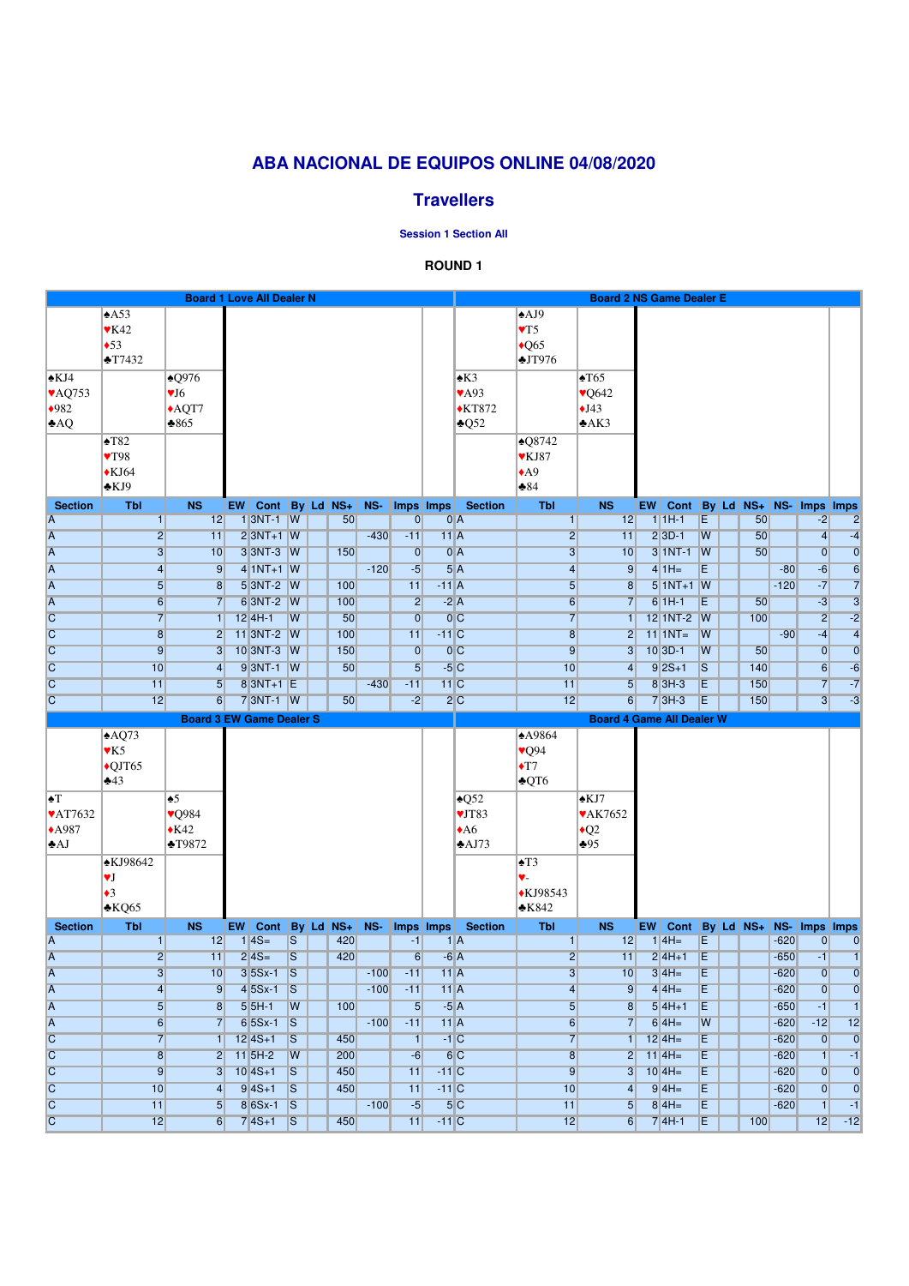|                                  |                          | <b>Board 1 Love All Dealer N</b> |    |                         |                         |                   |        |                |         |                          |                           | <b>Board 2 NS Game Dealer E</b>  |           |                     |                         |           |        |                               |                                                |
|----------------------------------|--------------------------|----------------------------------|----|-------------------------|-------------------------|-------------------|--------|----------------|---------|--------------------------|---------------------------|----------------------------------|-----------|---------------------|-------------------------|-----------|--------|-------------------------------|------------------------------------------------|
|                                  | $\triangle$ A53          |                                  |    |                         |                         |                   |        |                |         |                          | $\triangle$ AJ9           |                                  |           |                     |                         |           |        |                               |                                                |
|                                  | $\blacktriangledown$ K42 |                                  |    |                         |                         |                   |        |                |         |                          | $\sqrt{T5}$               |                                  |           |                     |                         |           |        |                               |                                                |
|                                  | $\triangleleft$ 53       |                                  |    |                         |                         |                   |        |                |         |                          | $\triangle$ Q65           |                                  |           |                     |                         |           |        |                               |                                                |
|                                  | $\triangle$ T7432        |                                  |    |                         |                         |                   |        |                |         |                          | JT976                     |                                  |           |                     |                         |           |        |                               |                                                |
|                                  |                          |                                  |    |                         |                         |                   |        |                |         |                          |                           |                                  |           |                     |                         |           |        |                               |                                                |
| $\triangle$ KJ4                  |                          | $\triangle Q976$                 |    |                         |                         |                   |        |                |         | $\triangle$ K3           |                           | $\triangle$ T65                  |           |                     |                         |           |        |                               |                                                |
| $\blacktriangleright$ AQ753      |                          | $\Psi$ J $6$                     |    |                         |                         |                   |        |                |         | $\blacktriangledown$ A93 |                           | $\vee$ Q642                      |           |                     |                         |           |        |                               |                                                |
| $\big\rightarrow 982$            |                          | $*AQT7$                          |    |                         |                         |                   |        |                |         | $\star$ KT872            |                           | $\bigcup$ J43                    |           |                     |                         |           |        |                               |                                                |
| AQ                               |                          | $*865$                           |    |                         |                         |                   |        |                |         | $\triangle$ Q52          |                           | A K3                             |           |                     |                         |           |        |                               |                                                |
|                                  | $\blacktriangle$ T82     |                                  |    |                         |                         |                   |        |                |         |                          | $\triangle$ Q8742         |                                  |           |                     |                         |           |        |                               |                                                |
|                                  | $\blacktriangledown$ T98 |                                  |    |                         |                         |                   |        |                |         |                          | $\blacktriangledown$ KJ87 |                                  |           |                     |                         |           |        |                               |                                                |
|                                  | $\triangle$ KJ64         |                                  |    |                         |                         |                   |        |                |         |                          | $\triangle$ A9            |                                  |           |                     |                         |           |        |                               |                                                |
|                                  | $*$ KJ9                  |                                  |    |                         |                         |                   |        |                |         |                          | $\blacktriangleright 84$  |                                  |           |                     |                         |           |        |                               |                                                |
| <b>Section</b>                   | <b>Tbl</b>               | <b>NS</b>                        | EW | <b>Cont</b>             |                         | By Ld NS+         | NS-    | Imps Imps      |         | <b>Section</b>           | <b>Tbl</b>                | <b>NS</b>                        | EW        | Cont                |                         |           |        | By Ld NS+ NS- Imps Imps       |                                                |
| $\overline{A}$                   | $\blacksquare$           | 12                               |    | $1$ 3NT-1 W             |                         | 50                |        | $\overline{0}$ |         | 0A                       | 11                        | 12                               |           | $11H-1$             | E                       | 50        |        | $-2$                          | $\overline{2}$                                 |
| $\overline{A}$                   | $\overline{2}$           | 11                               |    | $2 3NT+1 W$             |                         |                   | $-430$ | $-11$          | 11A     |                          | $\overline{2}$            | 11                               |           | $2 3D-1$            | W                       | 50        |        | $\overline{4}$                | $-4$                                           |
| $\overline{A}$                   | 3 <sup>1</sup>           | 10                               |    | 3 3 NT-3 W              |                         | 150               |        | $\overline{0}$ |         | 0A                       | 3                         | 10 <sup>°</sup>                  |           | $3$ 1NT-1           | $\overline{\mathsf{w}}$ | 50        |        | 0                             | $\overline{0}$                                 |
| $\overline{A}$                   | $\vert 4 \vert$          | 9 <sub>l</sub>                   |    | $4$ 1NT+1 W             |                         |                   | $-120$ | $-5$           |         | 5A                       | $\overline{4}$            | 9                                |           | $4 1H=$             | E                       |           | $-80$  | $-6$                          | $6 \overline{6}$                               |
| $\overline{A}$                   | 5 <sub>l</sub>           | 8 <sup>1</sup>                   |    | 5 3NT-2 W               |                         | 100               |        | 11             | $-11$ A |                          | 5 <sub>l</sub>            | 8                                |           | $5$   1NT+1   W     |                         |           | $-120$ | $-7$                          |                                                |
| $\overline{A}$                   | $6 \overline{6}$         | 7 <sup>1</sup>                   |    | 6 3NT-2 W               |                         | 100               |        | $\overline{2}$ |         | $-2A$                    | $6 \mid$                  | $\overline{7}$                   |           | $6 1H-1$            | E                       | 50        |        | $-3$                          | $\overline{7}$<br>3                            |
| $\overline{C}$                   |                          |                                  |    |                         |                         |                   |        |                |         |                          |                           |                                  |           |                     |                         |           |        |                               |                                                |
|                                  | $\overline{7}$           | 1 <sup>1</sup>                   |    | $12   4H-1$             | W                       | 50                |        | $\overline{0}$ |         | 0C                       | $\overline{7}$            |                                  |           | 12 1NT-2   W        |                         | 100       |        | $\overline{2}$                | $-2$                                           |
| $\overline{C}$                   | $\overline{8}$           | 2 <sub>1</sub>                   |    | $11$ 3NT-2 $\mid$ W     |                         | 100               |        | 11             | $-11$ C |                          | $\overline{8}$            | $\overline{2}$                   |           | $11$   1NT=         | $\overline{\mathsf{W}}$ |           | $-90$  | $-4$                          | $\overline{4}$                                 |
| $\overline{C}$                   | 9                        | 3 <sup>1</sup>                   |    | 10 3NT-3 W              |                         | 150               |        | $\overline{0}$ |         | 0C                       | 9                         | 3 <sup>1</sup>                   |           | $10$ 3D-1           | $\overline{W}$          | 50        |        | 0                             | $\overline{0}$                                 |
| $\overline{C}$                   | 10                       | 4 <sup>1</sup>                   |    | 9 3NT-1 W               |                         | 50                |        | 5 <sup>1</sup> |         | $-5C$                    | 10                        | $\vert$                          |           | $9 2S+1$            | S                       | 140       |        | 6                             | $-6$                                           |
| $\overline{C}$                   | 11                       | 5 <sub>1</sub>                   |    | 8 3NT+1 E               |                         |                   | $-430$ | $-11$          | 11C     |                          | 11                        | 5                                |           | 8 3H-3              | E                       | 150       |        | $\overline{7}$                | $-7$                                           |
| $\overline{C}$                   | 12                       | 6 <sup>1</sup>                   |    | 7 3NT-1 W               |                         | 50                |        | $-2$           |         | 2C                       | 12                        | 6                                |           | $7 3H-3$            | E                       | 150       |        | 3 <sup>1</sup>                | $-3$                                           |
|                                  |                          |                                  |    |                         |                         |                   |        |                |         |                          |                           |                                  |           |                     |                         |           |        |                               |                                                |
|                                  |                          | <b>Board 3 EW Game Dealer S</b>  |    |                         |                         |                   |        |                |         |                          |                           | <b>Board 4 Game All Dealer W</b> |           |                     |                         |           |        |                               |                                                |
|                                  | AQ73                     |                                  |    |                         |                         |                   |        |                |         |                          | <b>A9864</b>              |                                  |           |                     |                         |           |        |                               |                                                |
|                                  | $\sqrt{\text{K}}5$       |                                  |    |                         |                         |                   |        |                |         |                          | $\sqrt{\phantom{a}}$      |                                  |           |                     |                         |           |        |                               |                                                |
|                                  | $\triangle$ QJT65        |                                  |    |                         |                         |                   |        |                |         |                          | $\blacktriangleright$ T7  |                                  |           |                     |                         |           |        |                               |                                                |
|                                  | $\blacktriangleright$ 43 |                                  |    |                         |                         |                   |        |                |         |                          | $\triangle QT6$           |                                  |           |                     |                         |           |        |                               |                                                |
|                                  |                          |                                  |    |                         |                         |                   |        |                |         |                          |                           |                                  |           |                     |                         |           |        |                               |                                                |
| $\blacktriangleright$            |                          | $\clubsuit 5$                    |    |                         |                         |                   |        |                |         | $\triangle$ Q52          |                           | $\triangle$ KJ7                  |           |                     |                         |           |        |                               |                                                |
| <b>VAT7632</b>                   |                          | <b>vQ984</b>                     |    |                         |                         |                   |        |                |         | VIT83                    |                           | <b>VAK7652</b>                   |           |                     |                         |           |        |                               |                                                |
| <b>◆A987</b>                     |                          | $\triangle$ K42                  |    |                         |                         |                   |        |                |         | $\triangle$ A6           |                           | $\bigotimes$                     |           |                     |                         |           |        |                               |                                                |
| $\triangle$ AJ                   |                          | $-19872$                         |    |                         |                         |                   |        |                |         | $\triangle$ AJ73         |                           | $\frac{1}{2}95$                  |           |                     |                         |           |        |                               |                                                |
|                                  | <b>*KJ98642</b>          |                                  |    |                         |                         |                   |        |                |         |                          | $\blacktriangle$ T3       |                                  |           |                     |                         |           |        |                               |                                                |
|                                  | $\Psi$ J                 |                                  |    |                         |                         |                   |        |                |         |                          | V-                        |                                  |           |                     |                         |           |        |                               |                                                |
|                                  | $\triangleleft$ 3        |                                  |    |                         |                         |                   |        |                |         |                          | <b>★KJ98543</b>           |                                  |           |                     |                         |           |        |                               |                                                |
|                                  | $\triangle KQ65$         |                                  |    |                         |                         |                   |        |                |         |                          | $\triangle$ K842          |                                  |           |                     |                         |           |        |                               |                                                |
| <b>Section</b>                   | <b>Tbl</b>               | <b>NS</b>                        | EW | Cont                    |                         | $By$ Ld $NS+$ NS- |        | Imps Imps      |         | <b>Section</b>           | Tbl                       | <b>NS</b>                        | <b>EW</b> | Cont                |                         | By Ld NS+ |        | NS- Imps Imps                 |                                                |
| $\overline{A}$                   | 1 <sup>1</sup>           | 12                               |    | $1 4S=$                 | $\overline{S}$          | 420               |        | $-1$           |         | 1A                       | 1 <sup>1</sup>            | 12                               |           | $1 4H=$             | E                       |           | $-620$ | 0                             |                                                |
| $\overline{A}$                   | $\overline{2}$           | 11                               |    | $2 4S=$                 | S                       | 420               |        | 6              |         | $-6$ A                   | $\overline{2}$            | 11                               |           | $2 4H+1 $           | E                       |           | $-650$ | $-1$                          | 0 <br>$\overline{1}$                           |
| $\overline{A}$                   | 3 <sup>1</sup>           | 10                               |    | 3 5 Sx-1 S              |                         |                   | $-100$ | $-11$          | 11A     |                          | 3                         | 10                               |           | $3 4H=$             | E                       |           | $-620$ | $\overline{0}$                | $\overline{0}$                                 |
| $\overline{A}$                   | $\vert 4 \vert$          | 9 <sub>l</sub>                   |    | 4 5 Sx-1 S              |                         |                   | $-100$ | $-11$          | $11$ A  |                          | $\overline{4}$            | 9                                |           | $4 4H=$             | E                       |           | $-620$ | 0                             | $\overline{0}$                                 |
| $\overline{A}$                   | 5 <sub>5</sub>           | 8 <sup>1</sup>                   |    | $5 5H-1 $               | W                       | 100               |        | 5 <sub>5</sub> |         | $-5A$                    | 5 <sub>l</sub>            | 8 <sup>1</sup>                   |           | $5 4H+1$            | E                       |           | $-650$ | $-1$                          | $\overline{1}$                                 |
| $\overline{A}$                   | $6 \overline{6}$         | 7 <sup>1</sup>                   |    | 6 5 Sx-1 S              |                         |                   | $-100$ | $-11$          | 11A     |                          | 6 <sup>1</sup>            | $\overline{7}$                   |           | $6$ 4H=             | W                       |           | $-620$ | $-12$                         |                                                |
| $\overline{C}$                   | 7 <sup>1</sup>           | 1 <sup>1</sup>                   |    | $12 4S+1$               | $\overline{\mathsf{S}}$ | 450               |        | 1              |         | $-1$ C                   | 7 <sup>1</sup>            | 1                                |           | $12   4H =$         | E                       |           | $-620$ | 0                             |                                                |
| $\overline{C}$                   | $\overline{8}$           | $2\Box$                          |    | $11$ 5H-2               | $\overline{W}$          | 200               |        | $-6$           |         | 6C                       | 8                         | 2 <sub>1</sub>                   |           | $11   4H =$         | E                       |           | $-620$ | $\mathbf{1}$                  |                                                |
| $\overline{C}$                   | 9 <sub>o</sub>           | 3 <sup>1</sup>                   |    | $10 4S+1$               | $\overline{\mathsf{S}}$ | 450               |        | 11             | $-11$ C |                          | 9                         | 3 <sup>1</sup>                   |           | $10  4H=$           | E                       |           | $-620$ | 0                             | 12<br>$\overline{0}$<br>$-1$<br>$\overline{0}$ |
| $\overline{C}$                   | 10                       | 4 <sup>1</sup>                   |    | $9 4S+1 $               | $\overline{\mathsf{S}}$ | 450               |        | 11             | $-11$ C |                          | 10                        | $\overline{4}$                   |           | $9 4H=$             | E                       |           | $-620$ | 0                             | $\overline{0}$                                 |
| $\overline{C}$<br>$\overline{C}$ | 11<br>12                 | 5 <sub>l</sub><br>6              |    | 8 6 Sx-1 S<br>$7 4S+1 $ | $\overline{\mathsf{S}}$ | 450               | $-100$ | $-5$<br>11     | $-11$ C | 5C                       | 11<br> 12                 | 5 <sub>5</sub><br>$6 \mid$       |           | $8 4H=$<br>$7 4H-1$ | E<br>E                  | 100       | $-620$ | $\overline{\mathbf{1}}$<br>12 | $-1$<br>$-12$                                  |

# **ABA NACIONAL DE EQUIPOS ONLINE 04/08/2020**

## **Travellers**

**Session 1 Section All**

### **ROUND 1**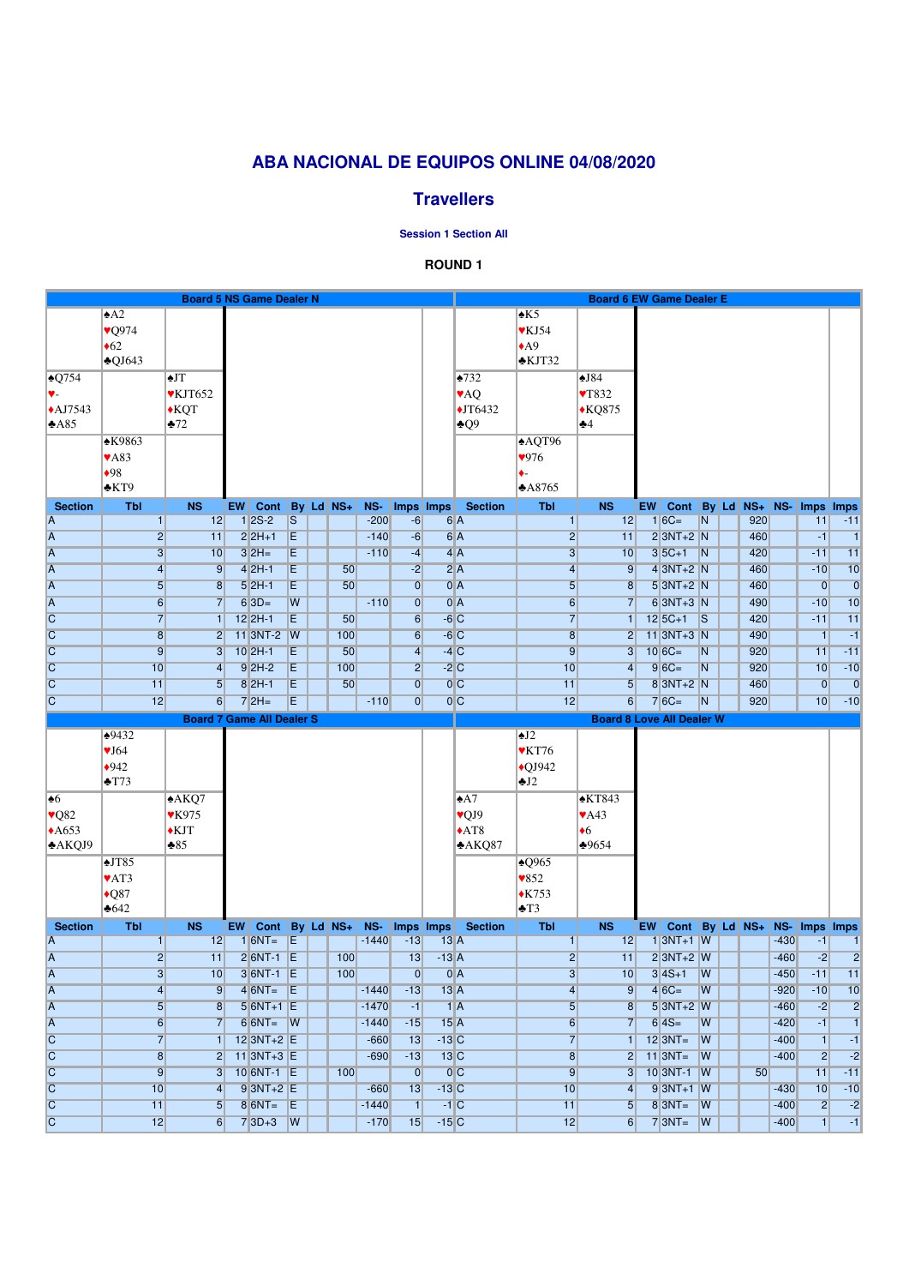## **ABA NACIONAL DE EQUIPOS ONLINE 04/08/2020**

### **Travellers**

**Session 1 Section All**

#### **ROUND 1**

|                                  |                              | <b>Board 5 NS Game Dealer N</b>  |           |                              |                |           |     |                   |                         |                  |                            |                           | <b>Board 6 EW Game Dealer E</b>  |           |                                         |                         |     |        |                         |                                  |
|----------------------------------|------------------------------|----------------------------------|-----------|------------------------------|----------------|-----------|-----|-------------------|-------------------------|------------------|----------------------------|---------------------------|----------------------------------|-----------|-----------------------------------------|-------------------------|-----|--------|-------------------------|----------------------------------|
|                                  | $\triangle$ A2               |                                  |           |                              |                |           |     |                   |                         |                  |                            | $\triangle$ K5            |                                  |           |                                         |                         |     |        |                         |                                  |
|                                  | $\sqrt{Q}974$                |                                  |           |                              |                |           |     |                   |                         |                  |                            | $\triangledown$ KJ54      |                                  |           |                                         |                         |     |        |                         |                                  |
|                                  | $\triangleleft 62$           |                                  |           |                              |                |           |     |                   |                         |                  |                            | $\triangle$ A9            |                                  |           |                                         |                         |     |        |                         |                                  |
|                                  | $\triangle$ QJ643            |                                  |           |                              |                |           |     |                   |                         |                  |                            | $\triangle$ KJT32         |                                  |           |                                         |                         |     |        |                         |                                  |
|                                  |                              |                                  |           |                              |                |           |     |                   |                         |                  |                            |                           |                                  |           |                                         |                         |     |        |                         |                                  |
| $\triangle Q$ 754                |                              | <b>AJT</b>                       |           |                              |                |           |     |                   |                         |                  | $\triangle 732$            |                           | $\triangle$ J84                  |           |                                         |                         |     |        |                         |                                  |
| V-                               |                              | $\blacktriangledown$ KJT652      |           |                              |                |           |     |                   |                         |                  | <b>VAQ</b>                 |                           | $\sqrt{T832}$                    |           |                                         |                         |     |        |                         |                                  |
| $\triangle$ AJ7543               |                              | $\bigstar$ KQT                   |           |                              |                |           |     |                   |                         |                  | $\overline{\text{JT}6432}$ |                           | $\triangle KQ875$                |           |                                         |                         |     |        |                         |                                  |
| A85                              |                              | $*72$                            |           |                              |                |           |     |                   |                         |                  | $\triangle Q9$             |                           | $\clubsuit 4$                    |           |                                         |                         |     |        |                         |                                  |
|                                  | <b>*K9863</b>                |                                  |           |                              |                |           |     |                   |                         |                  |                            | $\triangle$ AQT96         |                                  |           |                                         |                         |     |        |                         |                                  |
|                                  | $\blacktriangledown$ A83     |                                  |           |                              |                |           |     |                   |                         |                  |                            | 976                       |                                  |           |                                         |                         |     |        |                         |                                  |
|                                  | •98                          |                                  |           |                              |                |           |     |                   |                         |                  |                            | ∔÷                        |                                  |           |                                         |                         |     |        |                         |                                  |
|                                  | $\triangle$ KT9              |                                  |           |                              |                |           |     |                   |                         |                  |                            | A8765                     |                                  |           |                                         |                         |     |        |                         |                                  |
|                                  |                              |                                  |           |                              |                |           |     |                   |                         |                  |                            |                           |                                  |           |                                         |                         |     |        |                         |                                  |
| <b>Section</b><br>$\overline{A}$ | <b>Tbl</b><br>$\overline{1}$ | <b>NS</b><br>12                  | EW        | <b>Cont</b><br>$1 2S-2$      | $\overline{S}$ | By Ld NS+ |     | NS-<br>$-200$     | Imps Imps<br>$-6$       |                  | <b>Section</b><br>6A       | Tbl<br>1 <sup>1</sup>     | <b>NS</b><br>12                  | <b>EW</b> | Cont By Ld NS+ NS- Imps Imps<br>$1 6C=$ | $\overline{\mathsf{N}}$ | 920 |        | 11                      | $-11$                            |
| $\overline{A}$                   | $\overline{2}$               | 11                               |           | $2 2H+1 $                    | Е              |           |     | $-140$            | $-6$                    |                  | 6A                         | $\overline{2}$            | 11                               |           | $2$ 3NT+2 $N$                           |                         | 460 |        | $-1$                    | $\blacksquare$                   |
|                                  |                              |                                  |           |                              |                |           |     |                   |                         |                  |                            |                           |                                  |           |                                         |                         |     |        |                         |                                  |
| $\overline{A}$                   | 3 <sup>1</sup>               | 10                               |           | $3$ $2H=$                    | E              |           |     | $-110$            | $-4$                    |                  | 4A                         | $\overline{3}$            | 10                               |           | $3 5C+1 $ N                             |                         | 420 |        | $-11$                   | 11                               |
| $\overline{A}$                   | $\vert 4 \vert$              | 9 <sup>°</sup>                   |           | $4$ 2H-1                     | E              |           | 50  |                   | $-2$                    |                  | 2A                         | $\overline{4}$            | 9 <sup>°</sup>                   |           | $4$ 3NT+2 N                             |                         | 460 |        | $-10$                   | 10                               |
| $\overline{A}$                   | 5 <sub>l</sub>               | 8 <sup>1</sup>                   |           | $5$ 2H-1                     | Е              |           | 50  |                   | $\overline{0}$          |                  | 0A                         | 5 <sub>l</sub>            | 8                                |           | $5$ 3NT+2 N                             |                         | 460 |        | 0                       | $\overline{0}$                   |
| $\overline{A}$                   | $6 \overline{6}$             | 7 <sup>1</sup>                   |           | $6 3D=$                      | W              |           |     | $-110$            | $\overline{0}$          |                  | 0A                         | $6 \mid$                  | $\overline{7}$                   |           | $6$ 3NT+3 N                             |                         | 490 |        | $-10$                   | 10                               |
| $\overline{C}$                   | $\overline{7}$               | 11                               |           | $12$ 2H-1                    | Е              |           | 50  |                   | $6 \overline{6}$        |                  | $-6$ C                     | $\overline{7}$            | $\blacktriangleleft$             |           | $12 5C+1 $                              | $\overline{\mathsf{S}}$ | 420 |        | $-11$                   | 11                               |
| $\overline{C}$                   | $\overline{8}$               | 2 <sub>1</sub>                   |           | $11$ 3NT-2 W                 |                |           | 100 |                   | $6 \overline{6}$        |                  | $-6 C$                     | 8                         | $\overline{2}$                   |           | $11$ 3NT+3 N                            |                         | 490 |        | $\overline{\mathbf{1}}$ | $\blacksquare$                   |
| $\overline{C}$                   | 9                            | 3 <sup>1</sup>                   |           | $10$ 2H-1                    | E              |           | 50  |                   | $\left  4 \right $      |                  | $-4$ C                     | 9                         | $\overline{3}$                   |           | $10 6C=$                                | $\overline{\mathsf{N}}$ | 920 |        | 11                      | $-11$                            |
| $\overline{C}$                   | 10                           | 4 <sup>1</sup>                   |           | $9$ 2H-2                     | E              |           | 100 |                   | $\overline{2}$          |                  | $-2$ C                     | 10                        | $\vert 4 \vert$                  |           | $9 6C=$                                 | $\overline{\mathsf{N}}$ | 920 |        | 10                      | $-10$                            |
| $\overline{C}$                   | 11                           | 5 <sub>l</sub>                   |           | $8$ 2H-1                     | Е              |           | 50  |                   | $\overline{0}$          |                  | 0C                         | 11                        | $\overline{5}$                   |           | 8 3NT+2 N                               |                         | 460 |        | $\overline{0}$          | $\overline{0}$                   |
| $\overline{C}$                   | 12                           | 6                                |           | $72H=$                       | Е              |           |     | $-110$            | 0                       |                  | 0C                         | 12                        | 6                                |           | $7 6C=$                                 | $\blacksquare$          | 920 |        | 10                      | $-10$                            |
|                                  |                              |                                  |           |                              |                |           |     |                   |                         |                  |                            |                           |                                  |           |                                         |                         |     |        |                         |                                  |
|                                  |                              | <b>Board 7 Game All Dealer S</b> |           |                              |                |           |     |                   |                         |                  |                            |                           | <b>Board 8 Love All Dealer W</b> |           |                                         |                         |     |        |                         |                                  |
|                                  | 19432                        |                                  |           |                              |                |           |     |                   |                         |                  |                            | $\triangle$ J2            |                                  |           |                                         |                         |     |        |                         |                                  |
|                                  |                              |                                  |           |                              |                |           |     |                   |                         |                  |                            |                           |                                  |           |                                         |                         |     |        |                         |                                  |
|                                  | $\blacktriangledown$ J64     |                                  |           |                              |                |           |     |                   |                         |                  |                            | $\blacktriangledown$ KT76 |                                  |           |                                         |                         |     |        |                         |                                  |
|                                  | $*942$                       |                                  |           |                              |                |           |     |                   |                         |                  |                            | $\bigcirc$ QJ942          |                                  |           |                                         |                         |     |        |                         |                                  |
|                                  | $\triangle$ T73              |                                  |           |                              |                |           |     |                   |                         |                  |                            | $\blacktriangle J2$       |                                  |           |                                         |                         |     |        |                         |                                  |
| $\clubsuit 6$                    |                              | A KQ7                            |           |                              |                |           |     |                   |                         |                  | $\triangle$ A7             |                           | $\triangle$ KT843                |           |                                         |                         |     |        |                         |                                  |
| $\vee$ Q82                       |                              | <b>▼K975</b>                     |           |                              |                |           |     |                   |                         |                  | $\sqrt{QJ9}$               |                           | $\blacktriangledown$ A43         |           |                                         |                         |     |        |                         |                                  |
| $\triangle$ A653                 |                              | $\triangle$ KJT                  |           |                              |                |           |     |                   |                         |                  | $\triangle$ AT8            |                           | $\bullet$ <sup>6</sup>           |           |                                         |                         |     |        |                         |                                  |
| A KQJ9                           |                              | $*85$                            |           |                              |                |           |     |                   |                         |                  | A KQ87                     |                           | $\frac{1}{2}9654$                |           |                                         |                         |     |        |                         |                                  |
|                                  | $\triangle$ JT85             |                                  |           |                              |                |           |     |                   |                         |                  |                            | $\triangle Q$ 965         |                                  |           |                                         |                         |     |        |                         |                                  |
|                                  | $\blacktriangledown$ AT3     |                                  |           |                              |                |           |     |                   |                         |                  |                            | $\blacktriangledown 852$  |                                  |           |                                         |                         |     |        |                         |                                  |
|                                  | $\triangle$ Q87              |                                  |           |                              |                |           |     |                   |                         |                  |                            | $\triangle$ K753          |                                  |           |                                         |                         |     |        |                         |                                  |
|                                  | $\triangle 642$              |                                  |           |                              |                |           |     |                   |                         |                  |                            | $\blacktriangleright$ T3  |                                  |           |                                         |                         |     |        |                         |                                  |
| <b>Section</b>                   | Tbl                          | <b>NS</b>                        | <b>EW</b> | <b>Cont</b>                  |                |           |     | $By$ Ld $NS+$ NS- | Imps Imps               |                  | <b>Section</b>             | Tbl                       | <b>NS</b>                        | EW        | Cont By Ld NS+                          |                         |     |        | NS- Imps Imps           |                                  |
| $\overline{A}$                   | $\mathbf{1}$                 | 12                               |           | $1 6NT=$                     | TE.            |           |     | $-1440$           | $-13$                   | $13 \, \text{A}$ |                            | 1 <sup>1</sup>            | 12                               |           | $1$ 3NT+1 W                             |                         |     | $-430$ | $-1$                    |                                  |
| $\overline{A}$                   | $\overline{2}$               | 11                               |           | $2 6NT-1 E$                  |                |           | 100 |                   | 13                      | $-13$ A          |                            | $\overline{2}$            | 11                               |           | $2$ 3NT+2 $W$                           |                         |     | $-460$ | $-2$                    | $\vert$ 1<br>$\overline{2}$      |
| $\overline{A}$                   | 3 <sup>1</sup>               | 10                               |           | 3 6NT-1 E                    |                |           | 100 |                   | 0                       |                  | 0A                         | 3                         | 10                               |           | $3 4S+1 $                               | $\overline{\mathsf{W}}$ |     | $-450$ | $-11$                   | 11                               |
| $\overline{A}$                   | $\vert 4 \vert$              | 9 <sub>l</sub>                   |           | $4$ 6NT=                     | ΤEΙ            |           |     | $-1440$           | $-13$                   | 13A              |                            | $\overline{4}$            | 9                                |           | $4 6C=$                                 | <b>W</b>                |     | $-920$ | $-10$                   | 10                               |
| $\overline{A}$                   | 5 <sub>l</sub>               | 8 <sup>1</sup>                   |           | $5 6NT+1 E$                  |                |           |     | $-1470$           | $-1$                    |                  | $1$ $A$                    | 5 <sub>l</sub>            | 8 <sup>°</sup>                   |           | $5$ 3NT+2 W                             |                         |     | $-460$ |                         |                                  |
| $\overline{A}$                   | 6 <sup>1</sup>               | 7 <sup>1</sup>                   |           | $6 6NT=$                     | $\overline{W}$ |           |     | $-1440$           | $-15$                   | 15A              |                            | 6 <sup>1</sup>            | $\overline{7}$                   |           | $6 4S=$                                 | <b>W</b>                |     | $-420$ | $-2$<br>$-1$            | $\overline{2}$<br>$\overline{1}$ |
| $\overline{C}$                   | $\overline{7}$               |                                  |           | 12 3NT+2 E                   |                |           |     | $-660$            | 13                      | $-13$ C          |                            | $\overline{7}$            |                                  |           | $12$ $3NT =$                            | $\overline{\mathsf{W}}$ |     | $-400$ | $\mathbf{1}$            |                                  |
|                                  | 8 <sup>1</sup>               | 2 <sup>1</sup>                   |           |                              |                |           |     |                   |                         |                  |                            | 8 <sup>1</sup>            | 2 <sup>2</sup>                   |           |                                         | $\overline{\mathsf{W}}$ |     |        | $\overline{2}$          |                                  |
| $\overline{C}$<br>$\overline{C}$ | $\overline{9}$               | 3 <sup>1</sup>                   |           | $11$ 3NT+3 E<br>10 6NT-1 E   |                |           | 100 | $-690$            | $-13$<br>$\overline{0}$ | 13C              | 0C                         | 9                         | $\overline{3}$                   |           | $11$   3NT=                             |                         | 50  | $-400$ | 11                      | $-1$<br>$-2$<br>$-11$            |
|                                  | 10                           | 4 <sup>1</sup>                   |           |                              |                |           |     | $-660$            | 13                      |                  |                            |                           | $\vert 4 \vert$                  |           | 10 3NT-1 W                              |                         |     | $-430$ | 10                      |                                  |
| $\overline{C}$<br>$\overline{C}$ | 11                           | 5 <sub>l</sub>                   |           | $9$ 3NT+2 E<br>$8 6NT =  E $ |                |           |     | $-1440$           | 1                       | $-13$ C          | $-1$ C                     | 10<br>11                  | $\sqrt{5}$                       |           | $9$ 3NT+1  W<br>$8$ 3NT=                | $\overline{\mathsf{W}}$ |     | $-400$ | $\overline{2}$          | $-10$<br>$-2$                    |